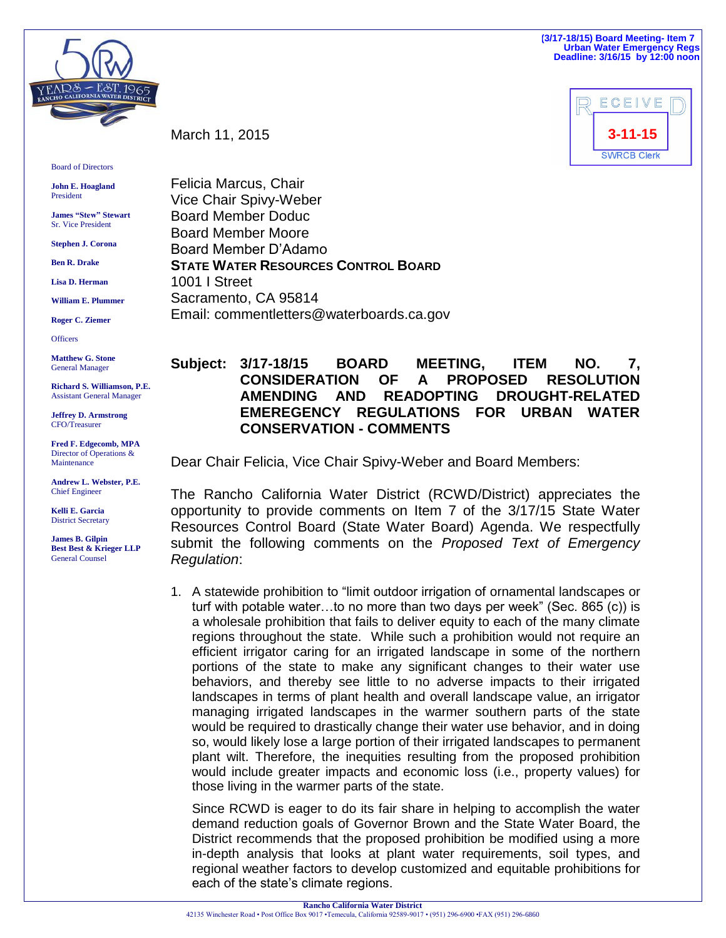**(3/17-18/15) Board Meeting- Item 7 Urban Water Emergency Regs Deadline: 3/16/15 by 12:00 noon**



March 11, 2015

Board of Directors

**John E. Hoagland** President

**James "Stew" Stewart** Sr. Vice President

**Stephen J. Corona**

**Ben R. Drake**

**Lisa D. Herman**

**William E. Plummer**

**Roger C. Ziemer**

**Officers** 

**Matthew G. Stone** General Manager

**Richard S. Williamson, P.E.** Assistant General Manager

**Jeffrey D. Armstrong** CFO/Treasurer

**Fred F. Edgecomb, MPA** Director of Operations & Maintenance

**Andrew L. Webster, P.E.** Chief Engineer

**Kelli E. Garcia** District Secretary

**James B. Gilpin Best Best & Krieger LLP** General Counsel

Felicia Marcus, Chair Vice Chair Spivy-Weber Board Member Doduc Board Member Moore Board Member D'Adamo **STATE WATER RESOURCES CONTROL BOARD** 1001 I Street Sacramento, CA 95814 Email: commentletters@waterboards.ca.gov

## **Subject: 3/17-18/15 BOARD MEETING, ITEM NO. 7, CONSIDERATION OF A PROPOSED RESOLUTION AMENDING AND READOPTING DROUGHT-RELATED EMEREGENCY REGULATIONS FOR URBAN WATER CONSERVATION - COMMENTS**

Dear Chair Felicia, Vice Chair Spivy-Weber and Board Members:

The Rancho California Water District (RCWD/District) appreciates the opportunity to provide comments on Item 7 of the 3/17/15 State Water Resources Control Board (State Water Board) Agenda. We respectfully submit the following comments on the *Proposed Text of Emergency Regulation*:

1. A statewide prohibition to "limit outdoor irrigation of ornamental landscapes or turf with potable water…to no more than two days per week" (Sec. 865 (c)) is a wholesale prohibition that fails to deliver equity to each of the many climate regions throughout the state. While such a prohibition would not require an efficient irrigator caring for an irrigated landscape in some of the northern portions of the state to make any significant changes to their water use behaviors, and thereby see little to no adverse impacts to their irrigated landscapes in terms of plant health and overall landscape value, an irrigator managing irrigated landscapes in the warmer southern parts of the state would be required to drastically change their water use behavior, and in doing so, would likely lose a large portion of their irrigated landscapes to permanent plant wilt. Therefore, the inequities resulting from the proposed prohibition would include greater impacts and economic loss (i.e., property values) for those living in the warmer parts of the state.

Since RCWD is eager to do its fair share in helping to accomplish the water demand reduction goals of Governor Brown and the State Water Board, the District recommends that the proposed prohibition be modified using a more in-depth analysis that looks at plant water requirements, soil types, and regional weather factors to develop customized and equitable prohibitions for each of the state's climate regions.